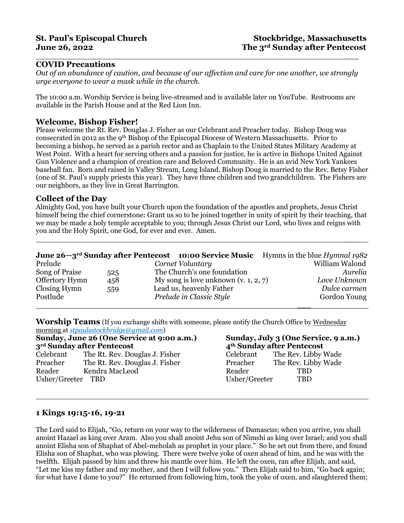$\overline{\phantom{a}}$ 

 $\overline{\phantom{a}}$ 

### **COVID Precautions**

*Out of an abundance of caution, and because of our affection and care for one another, we strongly urge everyone to wear a mask while in the church.*

The 10:00 a.m. Worship Service is being live-streamed and is available later on YouTube. Restrooms are available in the Parish House and at the Red Lion Inn.

### **Welcome, Bishop Fisher!**

Please welcome the Rt. Rev. Douglas J. Fisher as our Celebrant and Preacher today. Bishop Doug was consecrated in 2012 as the 9th Bishop of the Episcopal Diocese of Western Massachusetts. Prior to becoming a bishop, he served as a parish rector and as Chaplain to the United States Military Academy at West Point. With a heart for serving others and a passion for justice, he is active in Bishops United Against Gun Violence and a champion of creation care and Beloved Community. He is an avid New York Yankees baseball fan. Born and raised in Valley Stream, Long Island, Bishop Doug is married to the Rev. Betsy Fisher (one of St. Paul's supply priests this year). They have three children and two grandchildren. The Fishers are our neighbors, as they live in Great Barrington.

#### **Collect of the Day**

Almighty God, you have built your Church upon the foundation of the apostles and prophets, Jesus Christ himself being the chief cornerstone: Grant us so to be joined together in unity of spirit by their teaching, that we may be made a holy temple acceptable to you; through Jesus Christ our Lord, who lives and reigns with you and the Holy Spirit, one God, for ever and ever. Amen.

|                |     | <b>June 26–3<sup>rd</sup> Sunday after Pentecost</b> 10:00 Service Music Hymns in the blue <i>Hymnal</i> 1982 |                |
|----------------|-----|---------------------------------------------------------------------------------------------------------------|----------------|
| Prelude        |     | Cornet Voluntary                                                                                              | William Walond |
| Song of Praise | 525 | The Church's one foundation                                                                                   | Aurelia        |
| Offertory Hymn | 458 | My song is love unknown $(v, 1, 2, 7)$                                                                        | Love Unknown   |
| Closing Hymn   | 559 | Lead us, heavenly Father                                                                                      | Dulce carmen   |
| Postlude       |     | Prelude in Classic Style                                                                                      | Gordon Young   |
|                |     |                                                                                                               |                |

**Worship Teams** (If you exchange shifts with someone, please notify the Church Office by Wednesday morning at *stpaulsstockbridge@gmail.com*)

|                   | <b>Sunday, June 26 (One Service at 9:00 a.m.)</b> | Sunday, July 3 (One Service, 9 a.m.)<br>4 <sup>th</sup> Sunday after Pentecost |                     |  |
|-------------------|---------------------------------------------------|--------------------------------------------------------------------------------|---------------------|--|
|                   | 3 <sup>rd</sup> Sunday after Pentecost            |                                                                                |                     |  |
| Celebrant         | The Rt. Rev. Douglas J. Fisher                    | Celebrant                                                                      | The Rev. Libby Wade |  |
| Preacher          | The Rt. Rev. Douglas J. Fisher                    | Preacher                                                                       | The Rev. Libby Wade |  |
| Reader            | Kendra MacLeod                                    | Reader                                                                         | TBD                 |  |
| Usher/Greeter TBD |                                                   | Usher/Greeter                                                                  | TBD                 |  |
|                   |                                                   |                                                                                |                     |  |

### **1 Kings 19:15-16, 19-21**

The Lord said to Elijah, "Go, return on your way to the wilderness of Damascus; when you arrive, you shall anoint Hazael as king over Aram. Also you shall anoint Jehu son of Nimshi as king over Israel; and you shall anoint Elisha son of Shaphat of Abel-meholah as prophet in your place." So he set out from there, and found Elisha son of Shaphat, who was plowing. There were twelve yoke of oxen ahead of him, and he was with the twelfth. Elijah passed by him and threw his mantle over him. He left the oxen, ran after Elijah, and said, "Let me kiss my father and my mother, and then I will follow you." Then Elijah said to him, "Go back again; for what have I done to you?" He returned from following him, took the yoke of oxen, and slaughtered them;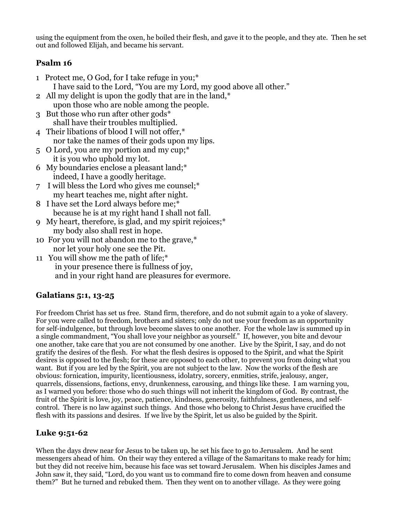using the equipment from the oxen, he boiled their flesh, and gave it to the people, and they ate. Then he set out and followed Elijah, and became his servant.

# **Psalm 16**

- 1 Protect me, O God, for I take refuge in you;\* I have said to the Lord, "You are my Lord, my good above all other."
- 2 All my delight is upon the godly that are in the land,\* upon those who are noble among the people.
- 3 But those who run after other gods\* shall have their troubles multiplied.
- 4 Their libations of blood I will not offer,\* nor take the names of their gods upon my lips.
- 5 O Lord, you are my portion and my cup;\* it is you who uphold my lot.
- 6 My boundaries enclose a pleasant land;\* indeed, I have a goodly heritage.
- 7 I will bless the Lord who gives me counsel;\* my heart teaches me, night after night.
- 8 I have set the Lord always before me;\* because he is at my right hand I shall not fall.
- 9 My heart, therefore, is glad, and my spirit rejoices;\* my body also shall rest in hope.
- 10 For you will not abandon me to the grave,\* nor let your holy one see the Pit.
- 11 You will show me the path of life;\* in your presence there is fullness of joy, and in your right hand are pleasures for evermore.

# **Galatians 5:1, 13-25**

For freedom Christ has set us free. Stand firm, therefore, and do not submit again to a yoke of slavery. For you were called to freedom, brothers and sisters; only do not use your freedom as an opportunity for self-indulgence, but through love become slaves to one another. For the whole law is summed up in a single commandment, "You shall love your neighbor as yourself." If, however, you bite and devour one another, take care that you are not consumed by one another. Live by the Spirit, I say, and do not gratify the desires of the flesh. For what the flesh desires is opposed to the Spirit, and what the Spirit desires is opposed to the flesh; for these are opposed to each other, to prevent you from doing what you want. But if you are led by the Spirit, you are not subject to the law. Now the works of the flesh are obvious: fornication, impurity, licentiousness, idolatry, sorcery, enmities, strife, jealousy, anger, quarrels, dissensions, factions, envy, drunkenness, carousing, and things like these. I am warning you, as I warned you before: those who do such things will not inherit the kingdom of God. By contrast, the fruit of the Spirit is love, joy, peace, patience, kindness, generosity, faithfulness, gentleness, and selfcontrol. There is no law against such things. And those who belong to Christ Jesus have crucified the flesh with its passions and desires. If we live by the Spirit, let us also be guided by the Spirit.

# **Luke 9:51-62**

When the days drew near for Jesus to be taken up, he set his face to go to Jerusalem. And he sent messengers ahead of him. On their way they entered a village of the Samaritans to make ready for him; but they did not receive him, because his face was set toward Jerusalem. When his disciples James and John saw it, they said, "Lord, do you want us to command fire to come down from heaven and consume them?" But he turned and rebuked them. Then they went on to another village. As they were going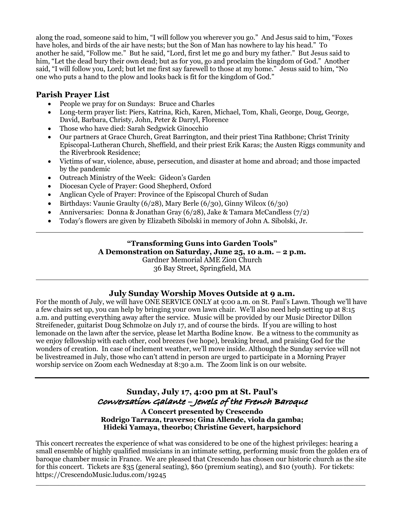along the road, someone said to him, "I will follow you wherever you go." And Jesus said to him, "Foxes have holes, and birds of the air have nests; but the Son of Man has nowhere to lay his head." To another he said, "Follow me." But he said, "Lord, first let me go and bury my father." But Jesus said to him, "Let the dead bury their own dead; but as for you, go and proclaim the kingdom of God." Another said, "I will follow you, Lord; but let me first say farewell to those at my home." Jesus said to him, "No one who puts a hand to the plow and looks back is fit for the kingdom of God."

# **Parish Prayer List**

- People we pray for on Sundays: Bruce and Charles
- Long-term prayer list: Piers, Katrina, Rich, Karen, Michael, Tom, Khali, George, Doug, George, David, Barbara, Christy, John, Peter & Darryl, Florence
- Those who have died: Sarah Sedgwick Ginocchio
- Our partners at Grace Church, Great Barrington, and their priest Tina Rathbone; Christ Trinity Episcopal-Lutheran Church, Sheffield, and their priest Erik Karas; the Austen Riggs community and the Riverbrook Residence;
- Victims of war, violence, abuse, persecution, and disaster at home and abroad; and those impacted by the pandemic
- Outreach Ministry of the Week: Gideon's Garden
- Diocesan Cycle of Prayer: Good Shepherd, Oxford
- Anglican Cycle of Prayer: Province of the Episcopal Church of Sudan
- Birthdays: Vaunie Graulty (6/28), Mary Berle (6/30), Ginny Wilcox (6/30)
- Anniversaries: Donna & Jonathan Gray  $(6/28)$ , Jake & Tamara McCandless  $(7/2)$
- Today's flowers are given by Elizabeth Sibolski in memory of John A. Sibolski, Jr.

## **"Transforming Guns into Garden Tools" A Demonstration on Saturday, June 25, 10 a.m. – 2 p.m.** Gardner Memorial AME Zion Church

 $\mathcal{L}$ 

36 Bay Street, Springfield, MA

# **July Sunday Worship Moves Outside at 9 a.m.**

For the month of July, we will have ONE SERVICE ONLY at 9:00 a.m. on St. Paul's Lawn. Though we'll have a few chairs set up, you can help by bringing your own lawn chair. We'll also need help setting up at 8:15 a.m. and putting everything away after the service. Music will be provided by our Music Director Dillon Streifeneder, guitarist Doug Schmolze on July 17, and of course the birds. If you are willing to host lemonade on the lawn after the service, please let Martha Bodine know. Be a witness to the community as we enjoy fellowship with each other, cool breezes (we hope), breaking bread, and praising God for the wonders of creation. In case of inclement weather, we'll move inside. Although the Sunday service will not be livestreamed in July, those who can't attend in person are urged to participate in a Morning Prayer worship service on Zoom each Wednesday at 8:30 a.m. The Zoom link is on our website.

> **Sunday, July 17, 4:00 pm at St. Paul's Conversation Galante – Jewels of the French Baroque A Concert presented by Crescendo Rodrigo Tarraza, traverso; Gina Allende, viola da gamba;**

**Hideki Yamaya, theorbo; Christine Gevert, harpsichord**

This concert recreates the experience of what was considered to be one of the highest privileges: hearing a small ensemble of highly qualified musicians in an intimate setting, performing music from the golden era of baroque chamber music in France. We are pleased that Crescendo has chosen our historic church as the site for this concert. Tickets are \$35 (general seating), \$60 (premium seating), and \$10 (youth). For tickets: https://CrescendoMusic.ludus.com/19245 \_\_\_\_\_\_\_\_\_\_\_\_\_\_\_\_\_\_\_\_\_\_\_\_\_\_\_\_\_\_\_\_\_\_\_\_\_\_\_\_\_\_\_\_\_\_\_\_\_\_\_\_\_\_\_\_\_\_\_\_\_\_\_\_\_\_\_\_\_\_\_\_\_\_